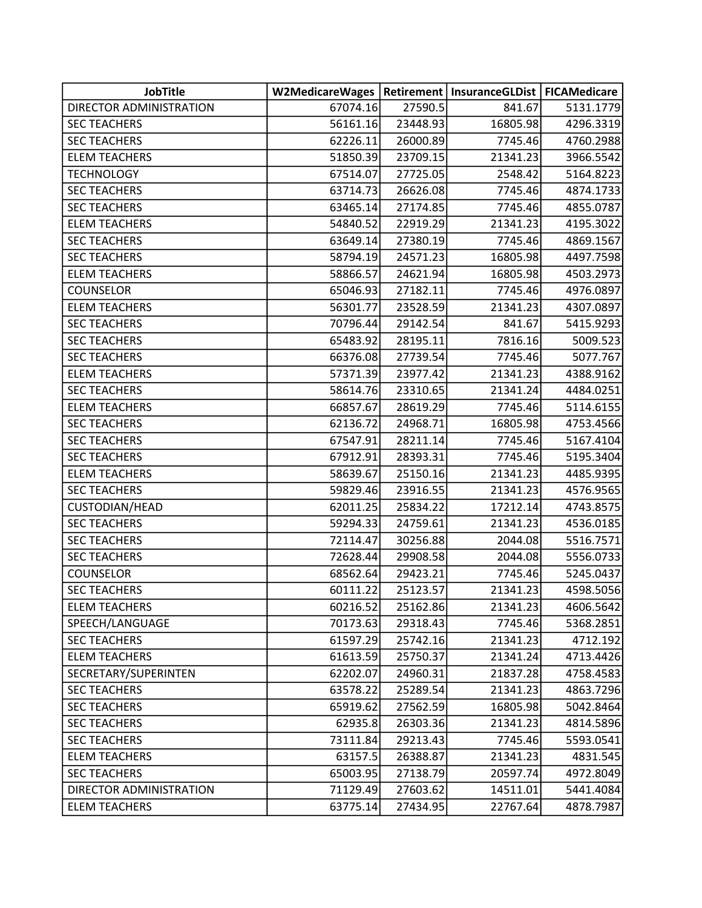| <b>JobTitle</b>         | <b>W2MedicareWages</b> |          | Retirement   InsuranceGLDist   FICAMedicare |           |
|-------------------------|------------------------|----------|---------------------------------------------|-----------|
| DIRECTOR ADMINISTRATION | 67074.16               | 27590.5  | 841.67                                      | 5131.1779 |
| <b>SEC TEACHERS</b>     | 56161.16               | 23448.93 | 16805.98                                    | 4296.3319 |
| <b>SEC TEACHERS</b>     | 62226.11               | 26000.89 | 7745.46                                     | 4760.2988 |
| <b>ELEM TEACHERS</b>    | 51850.39               | 23709.15 | 21341.23                                    | 3966.5542 |
| <b>TECHNOLOGY</b>       | 67514.07               | 27725.05 | 2548.42                                     | 5164.8223 |
| <b>SEC TEACHERS</b>     | 63714.73               | 26626.08 | 7745.46                                     | 4874.1733 |
| <b>SEC TEACHERS</b>     | 63465.14               | 27174.85 | 7745.46                                     | 4855.0787 |
| <b>ELEM TEACHERS</b>    | 54840.52               | 22919.29 | 21341.23                                    | 4195.3022 |
| <b>SEC TEACHERS</b>     | 63649.14               | 27380.19 | 7745.46                                     | 4869.1567 |
| <b>SEC TEACHERS</b>     | 58794.19               | 24571.23 | 16805.98                                    | 4497.7598 |
| <b>ELEM TEACHERS</b>    | 58866.57               | 24621.94 | 16805.98                                    | 4503.2973 |
| <b>COUNSELOR</b>        | 65046.93               | 27182.11 | 7745.46                                     | 4976.0897 |
| <b>ELEM TEACHERS</b>    | 56301.77               | 23528.59 | 21341.23                                    | 4307.0897 |
| <b>SEC TEACHERS</b>     | 70796.44               | 29142.54 | 841.67                                      | 5415.9293 |
| <b>SEC TEACHERS</b>     | 65483.92               | 28195.11 | 7816.16                                     | 5009.523  |
| <b>SEC TEACHERS</b>     | 66376.08               | 27739.54 | 7745.46                                     | 5077.767  |
| <b>ELEM TEACHERS</b>    | 57371.39               | 23977.42 | 21341.23                                    | 4388.9162 |
| <b>SEC TEACHERS</b>     | 58614.76               | 23310.65 | 21341.24                                    | 4484.0251 |
| <b>ELEM TEACHERS</b>    | 66857.67               | 28619.29 | 7745.46                                     | 5114.6155 |
| <b>SEC TEACHERS</b>     | 62136.72               | 24968.71 | 16805.98                                    | 4753.4566 |
| <b>SEC TEACHERS</b>     | 67547.91               | 28211.14 | 7745.46                                     | 5167.4104 |
| <b>SEC TEACHERS</b>     | 67912.91               | 28393.31 | 7745.46                                     | 5195.3404 |
| <b>ELEM TEACHERS</b>    | 58639.67               | 25150.16 | 21341.23                                    | 4485.9395 |
| <b>SEC TEACHERS</b>     | 59829.46               | 23916.55 | 21341.23                                    | 4576.9565 |
| CUSTODIAN/HEAD          | 62011.25               | 25834.22 | 17212.14                                    | 4743.8575 |
| <b>SEC TEACHERS</b>     | 59294.33               | 24759.61 | 21341.23                                    | 4536.0185 |
| <b>SEC TEACHERS</b>     | 72114.47               | 30256.88 | 2044.08                                     | 5516.7571 |
| <b>SEC TEACHERS</b>     | 72628.44               | 29908.58 | 2044.08                                     | 5556.0733 |
| COUNSELOR               | 68562.64               | 29423.21 | 7745.46                                     | 5245.0437 |
| <b>SEC TEACHERS</b>     | 60111.22               | 25123.57 | 21341.23                                    | 4598.5056 |
| <b>ELEM TEACHERS</b>    | 60216.52               | 25162.86 | 21341.23                                    | 4606.5642 |
| SPEECH/LANGUAGE         | 70173.63               | 29318.43 | 7745.46                                     | 5368.2851 |
| <b>SEC TEACHERS</b>     | 61597.29               | 25742.16 | 21341.23                                    | 4712.192  |
| <b>ELEM TEACHERS</b>    | 61613.59               | 25750.37 | 21341.24                                    | 4713.4426 |
| SECRETARY/SUPERINTEN    | 62202.07               | 24960.31 | 21837.28                                    | 4758.4583 |
| <b>SEC TEACHERS</b>     | 63578.22               | 25289.54 | 21341.23                                    | 4863.7296 |
| <b>SEC TEACHERS</b>     | 65919.62               | 27562.59 | 16805.98                                    | 5042.8464 |
| <b>SEC TEACHERS</b>     | 62935.8                | 26303.36 | 21341.23                                    | 4814.5896 |
| <b>SEC TEACHERS</b>     | 73111.84               | 29213.43 | 7745.46                                     | 5593.0541 |
| <b>ELEM TEACHERS</b>    | 63157.5                | 26388.87 | 21341.23                                    | 4831.545  |
| <b>SEC TEACHERS</b>     | 65003.95               | 27138.79 | 20597.74                                    | 4972.8049 |
| DIRECTOR ADMINISTRATION | 71129.49               | 27603.62 | 14511.01                                    | 5441.4084 |
| <b>ELEM TEACHERS</b>    | 63775.14               | 27434.95 | 22767.64                                    | 4878.7987 |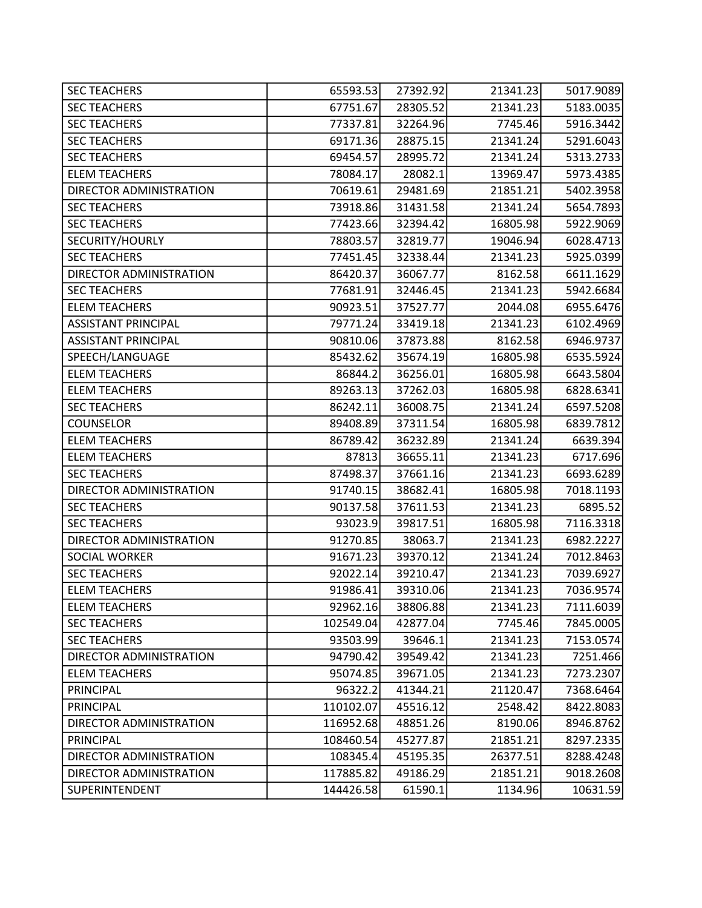| <b>SEC TEACHERS</b>        | 65593.53  | 27392.92 | 21341.23 | 5017.9089 |
|----------------------------|-----------|----------|----------|-----------|
| <b>SEC TEACHERS</b>        | 67751.67  | 28305.52 | 21341.23 | 5183.0035 |
| <b>SEC TEACHERS</b>        | 77337.81  | 32264.96 | 7745.46  | 5916.3442 |
| <b>SEC TEACHERS</b>        | 69171.36  | 28875.15 | 21341.24 | 5291.6043 |
| <b>SEC TEACHERS</b>        | 69454.57  | 28995.72 | 21341.24 | 5313.2733 |
| <b>ELEM TEACHERS</b>       | 78084.17  | 28082.1  | 13969.47 | 5973.4385 |
| DIRECTOR ADMINISTRATION    | 70619.61  | 29481.69 | 21851.21 | 5402.3958 |
| <b>SEC TEACHERS</b>        | 73918.86  | 31431.58 | 21341.24 | 5654.7893 |
| <b>SEC TEACHERS</b>        | 77423.66  | 32394.42 | 16805.98 | 5922.9069 |
| SECURITY/HOURLY            | 78803.57  | 32819.77 | 19046.94 | 6028.4713 |
| <b>SEC TEACHERS</b>        | 77451.45  | 32338.44 | 21341.23 | 5925.0399 |
| DIRECTOR ADMINISTRATION    | 86420.37  | 36067.77 | 8162.58  | 6611.1629 |
| <b>SEC TEACHERS</b>        | 77681.91  | 32446.45 | 21341.23 | 5942.6684 |
| <b>ELEM TEACHERS</b>       | 90923.51  | 37527.77 | 2044.08  | 6955.6476 |
| <b>ASSISTANT PRINCIPAL</b> | 79771.24  | 33419.18 | 21341.23 | 6102.4969 |
| <b>ASSISTANT PRINCIPAL</b> | 90810.06  | 37873.88 | 8162.58  | 6946.9737 |
| SPEECH/LANGUAGE            | 85432.62  | 35674.19 | 16805.98 | 6535.5924 |
| <b>ELEM TEACHERS</b>       | 86844.2   | 36256.01 | 16805.98 | 6643.5804 |
| <b>ELEM TEACHERS</b>       | 89263.13  | 37262.03 | 16805.98 | 6828.6341 |
| <b>SEC TEACHERS</b>        | 86242.11  | 36008.75 | 21341.24 | 6597.5208 |
| COUNSELOR                  | 89408.89  | 37311.54 | 16805.98 | 6839.7812 |
| <b>ELEM TEACHERS</b>       | 86789.42  | 36232.89 | 21341.24 | 6639.394  |
| <b>ELEM TEACHERS</b>       | 87813     | 36655.11 | 21341.23 | 6717.696  |
| <b>SEC TEACHERS</b>        | 87498.37  | 37661.16 | 21341.23 | 6693.6289 |
| DIRECTOR ADMINISTRATION    | 91740.15  | 38682.41 | 16805.98 | 7018.1193 |
| <b>SEC TEACHERS</b>        | 90137.58  | 37611.53 | 21341.23 | 6895.52   |
| <b>SEC TEACHERS</b>        | 93023.9   | 39817.51 | 16805.98 | 7116.3318 |
| DIRECTOR ADMINISTRATION    | 91270.85  | 38063.7  | 21341.23 | 6982.2227 |
| SOCIAL WORKER              | 91671.23  | 39370.12 | 21341.24 | 7012.8463 |
| <b>SEC TEACHERS</b>        | 92022.14  | 39210.47 | 21341.23 | 7039.6927 |
| <b>ELEM TEACHERS</b>       | 91986.41  | 39310.06 | 21341.23 | 7036.9574 |
| <b>ELEM TEACHERS</b>       | 92962.16  | 38806.88 | 21341.23 | 7111.6039 |
| <b>SEC TEACHERS</b>        | 102549.04 | 42877.04 | 7745.46  | 7845.0005 |
| <b>SEC TEACHERS</b>        | 93503.99  | 39646.1  | 21341.23 | 7153.0574 |
| DIRECTOR ADMINISTRATION    | 94790.42  | 39549.42 | 21341.23 | 7251.466  |
| <b>ELEM TEACHERS</b>       | 95074.85  | 39671.05 | 21341.23 | 7273.2307 |
| PRINCIPAL                  | 96322.2   | 41344.21 | 21120.47 | 7368.6464 |
| PRINCIPAL                  | 110102.07 | 45516.12 | 2548.42  | 8422.8083 |
| DIRECTOR ADMINISTRATION    | 116952.68 | 48851.26 | 8190.06  | 8946.8762 |
| PRINCIPAL                  | 108460.54 | 45277.87 | 21851.21 | 8297.2335 |
| DIRECTOR ADMINISTRATION    | 108345.4  | 45195.35 | 26377.51 | 8288.4248 |
| DIRECTOR ADMINISTRATION    | 117885.82 | 49186.29 | 21851.21 | 9018.2608 |
| SUPERINTENDENT             | 144426.58 | 61590.1  | 1134.96  | 10631.59  |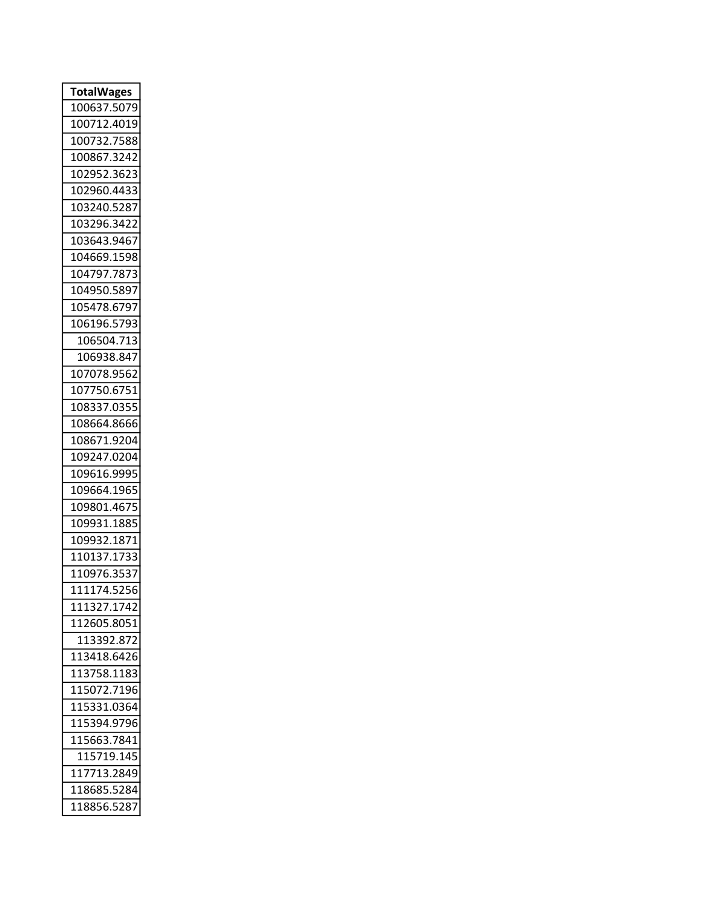| <b>TotalWages</b>        |
|--------------------------|
| 100637.5<br>5079         |
| 100712.4019              |
| 100732.7588              |
| 100867.3242              |
| 102952.3623              |
| 102960.4433              |
| 103240.5287              |
| 103296.3422              |
| 103643.9467              |
| 104669.1598              |
| 7873<br>104797.          |
| 104950.5897              |
| 105478.6797              |
| 106196.5793              |
| 106504.713               |
| 106938.847               |
| 107078.9562              |
| 107750.6751              |
| 108337.035!              |
| 108664.8666              |
| 108671.9204              |
| 109247.0204              |
| 109616.9995              |
| 109664.1965              |
| 109801.46<br>7!          |
| 109931.188!              |
| 109932.1871              |
| 37.<br>173<br>11013<br>3 |
| 353<br>110976.           |
| 111174.5256              |
| 111327.1742              |
| 112605.8051              |
| 113392.872               |
| 113418.6426              |
| 113758.1183              |
| 115072.7196              |
| 115331.0364              |
| 115394.9796              |
| 115663.7841              |
| 115719.145               |
| 117713.2849              |
| 118685.5284              |
| 118856.5287              |
|                          |